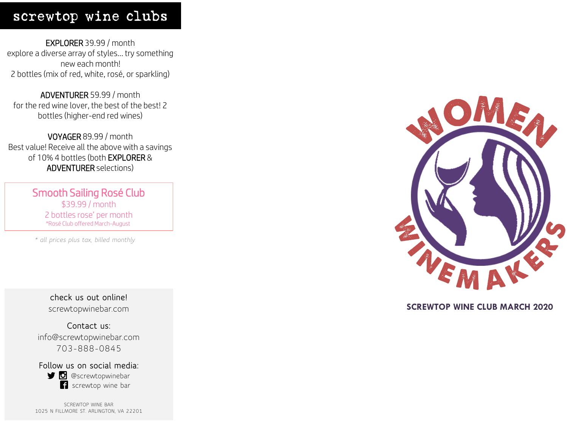### screwtop wine clubs

EXPLORER 39.99 / month explore a diverse array of styles… try something new each month! 2 bottles (mix of red, white, rosé, or sparkling)

ADVENTURER 59.99 / month for the red wine lover, the best of the best! 2 bottles (higher-end red wines)

VOYAGER 89.99 / month Best value! Receive all the above with a savings of 10% 4 bottles (both EXPLORER & ADVENTURER selections)

> Smooth Sailing Rosé Club \$39.99 / month 2 bottles rose' per month \*Rosé Club offered March-August

*\* all prices plus tax, billed monthly*

**check us out online!** screwtopwinebar.com

**Contact us:** info@screwtopwinebar.com 703-888-0845

**Follow us on social media: D** @screwtopwinebar screwtop wine bar

SCREWTOP WINE BAR 1025 N FILLMORE ST. ARLINGTON, VA 22201



#### **SCREWTOP WINE CLUB MARCH 2020**